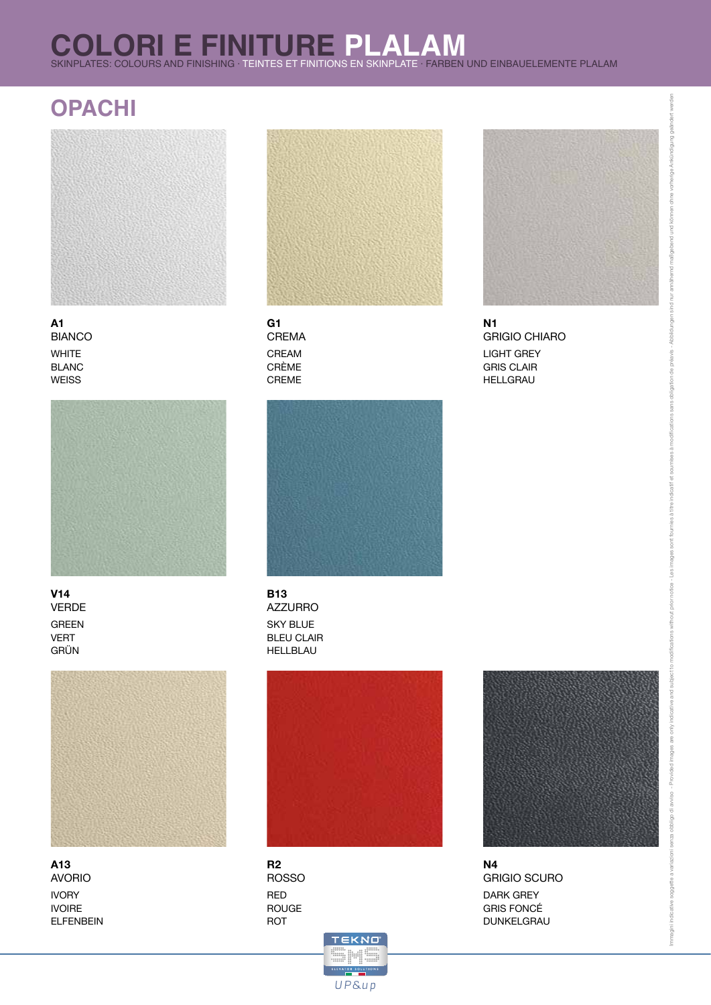# **COLORI E FINITURE PLALAM**<br>SKINPLATES: COLOURS AND FINISHING · TEINTES ET FINITIONS EN SKINPLATE · FARBEN UND EINBAUELEMENTE PLALAM

## **OPACHI**



**A1** BIANCO WHITE BLANC **WEISS** 



**V14** VERDE GREEN VERT GRÜN



**A13** AVORIO IVORY IVOIRE ELFENBEIN



CREAM CRÈME CREME **G1** CREMA



SKY BLUE BLEU CLAIR HELLBLAU **B13** AZZURRO



RED ROUGE ROT **R2** ROSSO





LIGHT GREY GRIS CLAIR HELLGRAU **N1** GRIGIO CHIARO



are only

ded images

DARK GREY GRIS FONCÉ DUNKELGRAU **N4** GRIGIO SCURO